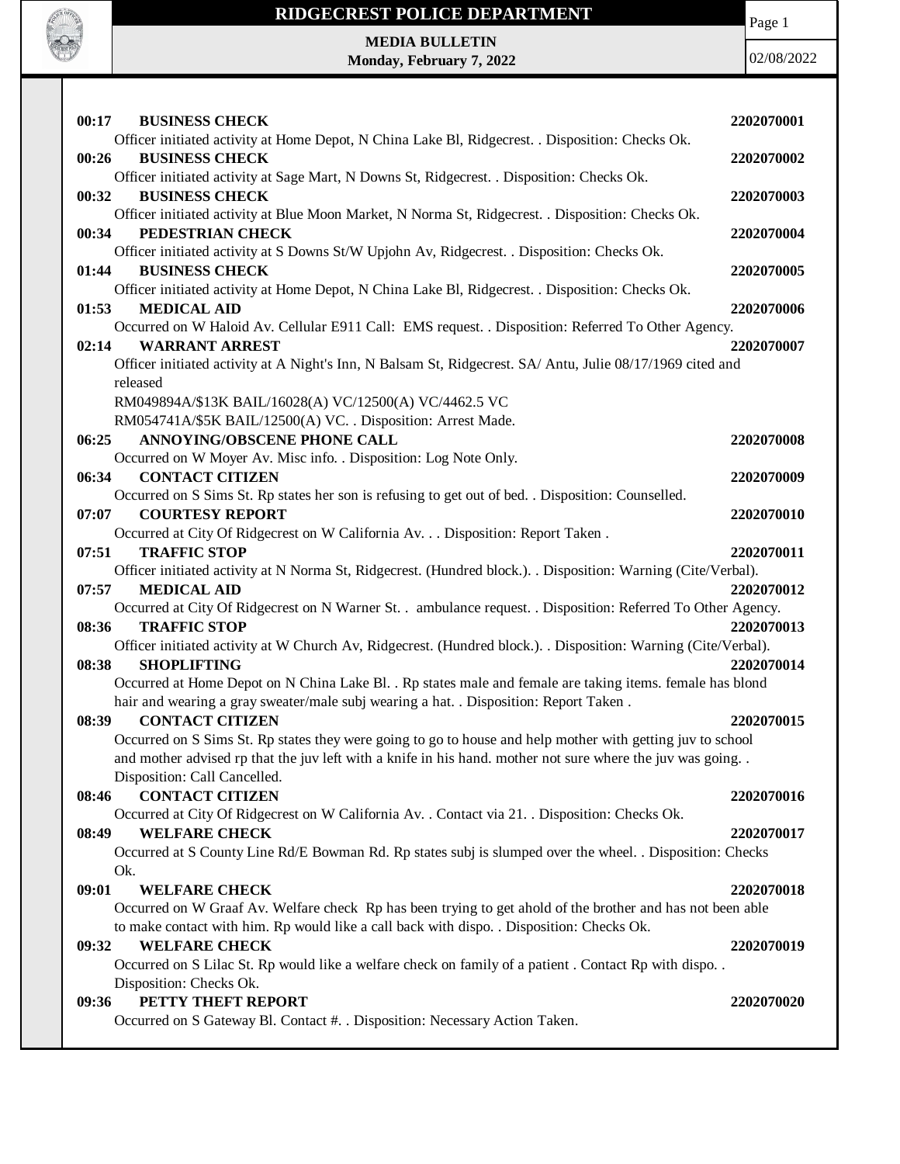

# **RIDGECREST POLICE DEPARTMENT MEDIA BULLETIN**

**Monday, February 7, 2022**

Page 1

02/08/2022

| 00:17<br><b>BUSINESS CHECK</b>                                                                                                              | 2202070001 |
|---------------------------------------------------------------------------------------------------------------------------------------------|------------|
| Officer initiated activity at Home Depot, N China Lake Bl, Ridgecrest. . Disposition: Checks Ok.                                            |            |
| 00:26<br><b>BUSINESS CHECK</b>                                                                                                              | 2202070002 |
| Officer initiated activity at Sage Mart, N Downs St, Ridgecrest. . Disposition: Checks Ok.                                                  |            |
| <b>BUSINESS CHECK</b><br>00:32                                                                                                              | 2202070003 |
| Officer initiated activity at Blue Moon Market, N Norma St, Ridgecrest. . Disposition: Checks Ok.                                           |            |
| PEDESTRIAN CHECK<br>00:34                                                                                                                   | 2202070004 |
| Officer initiated activity at S Downs St/W Upjohn Av, Ridgecrest. . Disposition: Checks Ok.                                                 |            |
| <b>BUSINESS CHECK</b><br>01:44                                                                                                              | 2202070005 |
| Officer initiated activity at Home Depot, N China Lake Bl, Ridgecrest. . Disposition: Checks Ok.                                            |            |
| <b>MEDICAL AID</b><br>01:53                                                                                                                 | 2202070006 |
| Occurred on W Haloid Av. Cellular E911 Call: EMS request. . Disposition: Referred To Other Agency.                                          |            |
| <b>WARRANT ARREST</b><br>02:14                                                                                                              | 2202070007 |
| Officer initiated activity at A Night's Inn, N Balsam St, Ridgecrest. SA/ Antu, Julie 08/17/1969 cited and                                  |            |
| released                                                                                                                                    |            |
| RM049894A/\$13K BAIL/16028(A) VC/12500(A) VC/4462.5 VC                                                                                      |            |
| RM054741A/\$5K BAIL/12500(A) VC. . Disposition: Arrest Made.                                                                                |            |
| <b>ANNOYING/OBSCENE PHONE CALL</b><br>06:25                                                                                                 | 2202070008 |
| Occurred on W Moyer Av. Misc info. . Disposition: Log Note Only.                                                                            |            |
| <b>CONTACT CITIZEN</b><br>06:34                                                                                                             | 2202070009 |
| Occurred on S Sims St. Rp states her son is refusing to get out of bed. . Disposition: Counselled.                                          |            |
| <b>COURTESY REPORT</b><br>07:07                                                                                                             | 2202070010 |
| Occurred at City Of Ridgecrest on W California Av. Disposition: Report Taken .                                                              |            |
| <b>TRAFFIC STOP</b><br>07:51                                                                                                                | 2202070011 |
| Officer initiated activity at N Norma St, Ridgecrest. (Hundred block.). . Disposition: Warning (Cite/Verbal).                               |            |
| 07:57<br><b>MEDICAL AID</b><br>Occurred at City Of Ridgecrest on N Warner St. . ambulance request. . Disposition: Referred To Other Agency. | 2202070012 |
| <b>TRAFFIC STOP</b><br>08:36                                                                                                                | 2202070013 |
| Officer initiated activity at W Church Av, Ridgecrest. (Hundred block.). . Disposition: Warning (Cite/Verbal).                              |            |
| 08:38<br><b>SHOPLIFTING</b>                                                                                                                 | 2202070014 |
| Occurred at Home Depot on N China Lake Bl. . Rp states male and female are taking items. female has blond                                   |            |
| hair and wearing a gray sweater/male subj wearing a hat. . Disposition: Report Taken.                                                       |            |
| <b>CONTACT CITIZEN</b><br>08:39                                                                                                             | 2202070015 |
| Occurred on S Sims St. Rp states they were going to go to house and help mother with getting juv to school                                  |            |
| and mother advised rp that the juv left with a knife in his hand. mother not sure where the juv was going                                   |            |
| Disposition: Call Cancelled.                                                                                                                |            |
| <b>CONTACT CITIZEN</b><br>08:46                                                                                                             | 2202070016 |
| Occurred at City Of Ridgecrest on W California Av. . Contact via 21. . Disposition: Checks Ok.                                              |            |
| <b>WELFARE CHECK</b><br>08:49                                                                                                               | 2202070017 |
| Occurred at S County Line Rd/E Bowman Rd. Rp states subj is slumped over the wheel. . Disposition: Checks                                   |            |
| Ok.                                                                                                                                         |            |
| 09:01<br><b>WELFARE CHECK</b>                                                                                                               | 2202070018 |
| Occurred on W Graaf Av. Welfare check Rp has been trying to get ahold of the brother and has not been able                                  |            |
| to make contact with him. Rp would like a call back with dispo. . Disposition: Checks Ok.                                                   |            |
| <b>WELFARE CHECK</b><br>09:32                                                                                                               | 2202070019 |
| Occurred on S Lilac St. Rp would like a welfare check on family of a patient. Contact Rp with dispo. .                                      |            |
| Disposition: Checks Ok.                                                                                                                     |            |
| PETTY THEFT REPORT<br>09:36                                                                                                                 | 2202070020 |
| Occurred on S Gateway Bl. Contact #. . Disposition: Necessary Action Taken.                                                                 |            |
|                                                                                                                                             |            |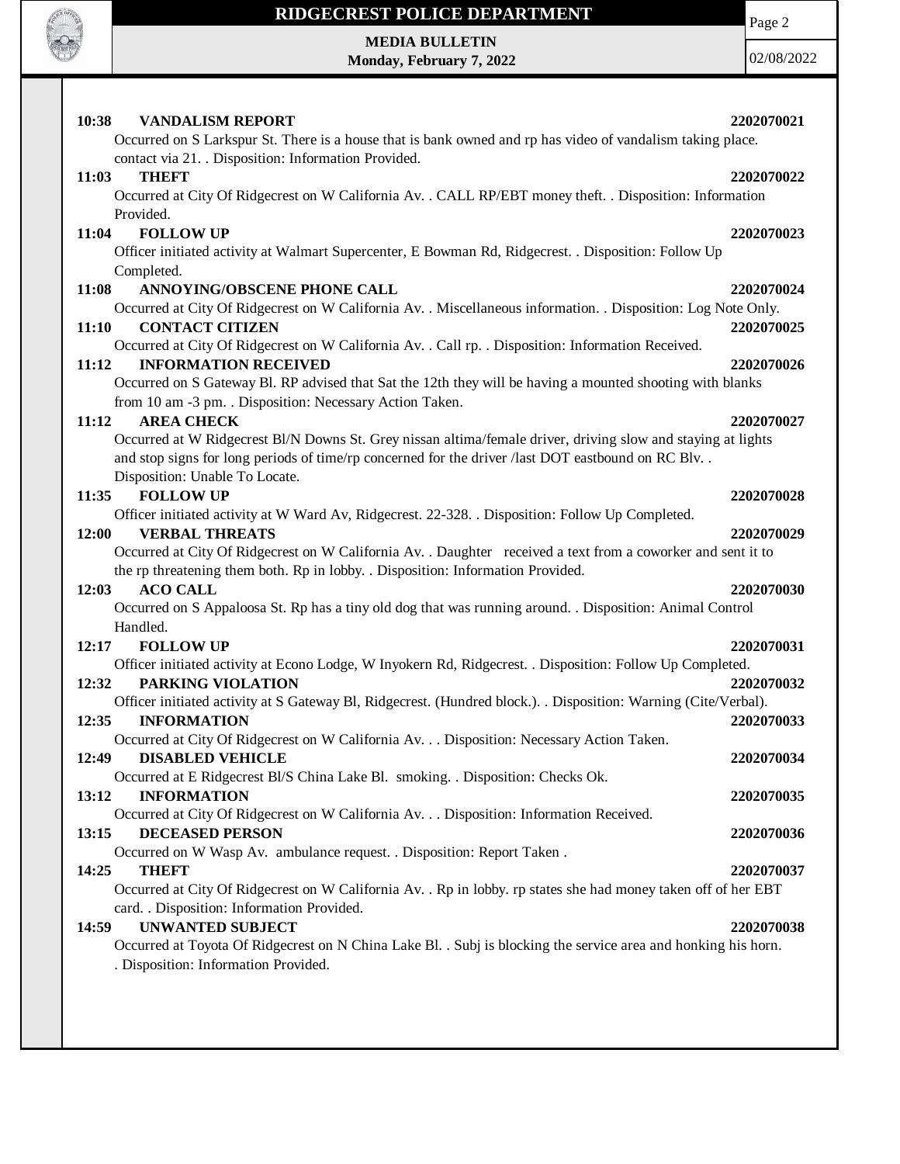

## **RIDGECREST POLICE DEPARTMENT**

**MEDIA BULLETIN Monday, February 7, 2022**

02/08/2022

| 10:38<br><b>VANDALISM REPORT</b><br>Occurred on S Larkspur St. There is a house that is bank owned and rp has video of vandalism taking place.                        | 2202070021 |
|-----------------------------------------------------------------------------------------------------------------------------------------------------------------------|------------|
| contact via 21. Disposition: Information Provided.                                                                                                                    |            |
| 11:03<br><b>THEFT</b>                                                                                                                                                 | 2202070022 |
| Occurred at City Of Ridgecrest on W California Av. . CALL RP/EBT money theft. . Disposition: Information                                                              |            |
| Provided.                                                                                                                                                             |            |
| <b>FOLLOW UP</b><br>11:04                                                                                                                                             | 2202070023 |
| Officer initiated activity at Walmart Supercenter, E Bowman Rd, Ridgecrest. . Disposition: Follow Up<br>Completed.                                                    |            |
| <b>ANNOYING/OBSCENE PHONE CALL</b><br>11:08                                                                                                                           | 2202070024 |
| Occurred at City Of Ridgecrest on W California Av. . Miscellaneous information. . Disposition: Log Note Only.                                                         |            |
| <b>CONTACT CITIZEN</b><br>11:10                                                                                                                                       | 2202070025 |
| Occurred at City Of Ridgecrest on W California Av. . Call rp. . Disposition: Information Received.                                                                    |            |
| <b>INFORMATION RECEIVED</b><br>11:12                                                                                                                                  | 2202070026 |
| Occurred on S Gateway Bl. RP advised that Sat the 12th they will be having a mounted shooting with blanks<br>from 10 am -3 pm. . Disposition: Necessary Action Taken. |            |
| <b>AREA CHECK</b><br>11:12                                                                                                                                            | 2202070027 |
| Occurred at W Ridgecrest Bl/N Downs St. Grey nissan altima/female driver, driving slow and staying at lights                                                          |            |
| and stop signs for long periods of time/rp concerned for the driver /last DOT eastbound on RC Blv                                                                     |            |
| Disposition: Unable To Locate.                                                                                                                                        |            |
| <b>FOLLOW UP</b><br>11:35                                                                                                                                             | 2202070028 |
| Officer initiated activity at W Ward Av, Ridgecrest. 22-328. . Disposition: Follow Up Completed.<br><b>VERBAL THREATS</b><br>12:00                                    | 2202070029 |
| Occurred at City Of Ridgecrest on W California Av. . Daughter received a text from a coworker and sent it to                                                          |            |
| the rp threatening them both. Rp in lobby. . Disposition: Information Provided.                                                                                       |            |
|                                                                                                                                                                       |            |
| <b>ACO CALL</b><br>12:03                                                                                                                                              | 2202070030 |
| Occurred on S Appaloosa St. Rp has a tiny old dog that was running around. . Disposition: Animal Control                                                              |            |
| Handled.                                                                                                                                                              |            |
| 12:17<br><b>FOLLOW UP</b>                                                                                                                                             | 2202070031 |
| Officer initiated activity at Econo Lodge, W Inyokern Rd, Ridgecrest. . Disposition: Follow Up Completed.                                                             |            |
| <b>PARKING VIOLATION</b><br>12:32                                                                                                                                     | 2202070032 |
| Officer initiated activity at S Gateway Bl, Ridgecrest. (Hundred block.). Disposition: Warning (Cite/Verbal).<br><b>INFORMATION</b><br>12:35                          | 2202070033 |
| Occurred at City Of Ridgecrest on W California Av. Disposition: Necessary Action Taken.                                                                               |            |
| <b>DISABLED VEHICLE</b><br>12:49                                                                                                                                      | 2202070034 |
| Occurred at E Ridgecrest Bl/S China Lake Bl. smoking. . Disposition: Checks Ok.                                                                                       |            |
| 13:12<br><b>INFORMATION</b>                                                                                                                                           | 2202070035 |
| Occurred at City Of Ridgecrest on W California Av. Disposition: Information Received.<br>13:15<br><b>DECEASED PERSON</b>                                              | 2202070036 |
| Occurred on W Wasp Av. ambulance request. . Disposition: Report Taken.                                                                                                |            |
| 14:25<br><b>THEFT</b>                                                                                                                                                 | 2202070037 |
| Occurred at City Of Ridgecrest on W California Av. . Rp in lobby. rp states she had money taken off of her EBT                                                        |            |
| card. . Disposition: Information Provided.                                                                                                                            |            |
| <b>UNWANTED SUBJECT</b><br>14:59                                                                                                                                      | 2202070038 |
| Occurred at Toyota Of Ridgecrest on N China Lake Bl. . Subj is blocking the service area and honking his horn.<br>. Disposition: Information Provided.                |            |

Page 2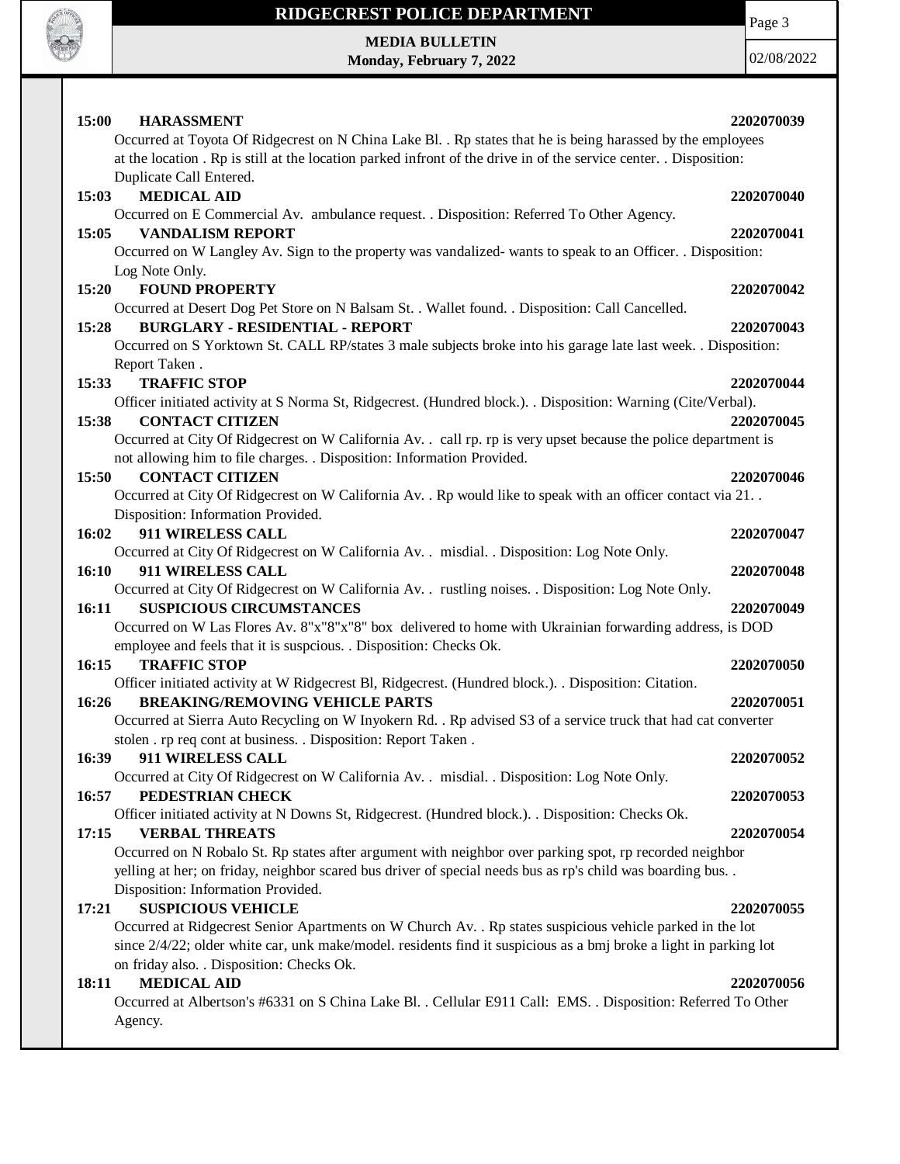

### **RIDGECREST POLICE DEPARTMENT**

Page 3

**MEDIA BULLETIN Monday, February 7, 2022**

02/08/2022

| 15:00<br><b>HARASSMENT</b><br>Occurred at Toyota Of Ridgecrest on N China Lake Bl. . Rp states that he is being harassed by the employees<br>at the location. Rp is still at the location parked infront of the drive in of the service center. Disposition:<br>Duplicate Call Entered.                                                      | 2202070039               |
|----------------------------------------------------------------------------------------------------------------------------------------------------------------------------------------------------------------------------------------------------------------------------------------------------------------------------------------------|--------------------------|
| <b>MEDICAL AID</b><br>15:03<br>Occurred on E Commercial Av. ambulance request. . Disposition: Referred To Other Agency.                                                                                                                                                                                                                      | 2202070040               |
| <b>VANDALISM REPORT</b><br>15:05<br>Occurred on W Langley Av. Sign to the property was vandalized- wants to speak to an Officer. . Disposition:<br>Log Note Only.                                                                                                                                                                            | 2202070041               |
| <b>FOUND PROPERTY</b><br>15:20                                                                                                                                                                                                                                                                                                               | 2202070042               |
| Occurred at Desert Dog Pet Store on N Balsam St. . Wallet found. . Disposition: Call Cancelled.<br><b>BURGLARY - RESIDENTIAL - REPORT</b><br>15:28<br>Occurred on S Yorktown St. CALL RP/states 3 male subjects broke into his garage late last week. . Disposition:<br>Report Taken.                                                        | 2202070043               |
| 15:33<br><b>TRAFFIC STOP</b><br>Officer initiated activity at S Norma St, Ridgecrest. (Hundred block.). Disposition: Warning (Cite/Verbal).<br><b>CONTACT CITIZEN</b><br>15:38                                                                                                                                                               | 2202070044<br>2202070045 |
| Occurred at City Of Ridgecrest on W California Av. . call rp. rp is very upset because the police department is<br>not allowing him to file charges. . Disposition: Information Provided.                                                                                                                                                    |                          |
| <b>CONTACT CITIZEN</b><br>15:50<br>Occurred at City Of Ridgecrest on W California Av. . Rp would like to speak with an officer contact via 21. .<br>Disposition: Information Provided.                                                                                                                                                       | 2202070046               |
| 911 WIRELESS CALL<br>16:02<br>Occurred at City Of Ridgecrest on W California Av. . misdial. . Disposition: Log Note Only.                                                                                                                                                                                                                    | 2202070047               |
| 16:10<br>911 WIRELESS CALL                                                                                                                                                                                                                                                                                                                   | 2202070048               |
| Occurred at City Of Ridgecrest on W California Av. . rustling noises. . Disposition: Log Note Only.<br>16:11<br><b>SUSPICIOUS CIRCUMSTANCES</b><br>Occurred on W Las Flores Av. 8"x"8"x"8" box delivered to home with Ukrainian forwarding address, is DOD<br>employee and feels that it is suspcious. . Disposition: Checks Ok.             | 2202070049               |
| <b>TRAFFIC STOP</b><br>16:15                                                                                                                                                                                                                                                                                                                 | 2202070050               |
| Officer initiated activity at W Ridgecrest Bl, Ridgecrest. (Hundred block.). . Disposition: Citation.<br><b>BREAKING/REMOVING VEHICLE PARTS</b><br>16:26<br>Occurred at Sierra Auto Recycling on W Inyokern Rd. . Rp advised S3 of a service truck that had cat converter<br>stolen . rp req cont at business. . Disposition: Report Taken . | 2202070051               |
| 16:39<br>911 WIRELESS CALL<br>Occurred at City Of Ridgecrest on W California Av. . misdial. . Disposition: Log Note Only.                                                                                                                                                                                                                    | 2202070052               |
| PEDESTRIAN CHECK<br>16:57<br>Officer initiated activity at N Downs St, Ridgecrest. (Hundred block.). . Disposition: Checks Ok.                                                                                                                                                                                                               | 2202070053               |
| <b>VERBAL THREATS</b><br>17:15<br>Occurred on N Robalo St. Rp states after argument with neighbor over parking spot, rp recorded neighbor<br>yelling at her; on friday, neighbor scared bus driver of special needs bus as rp's child was boarding bus. .<br>Disposition: Information Provided.                                              | 2202070054               |
| <b>SUSPICIOUS VEHICLE</b><br>17:21<br>Occurred at Ridgecrest Senior Apartments on W Church Av. . Rp states suspicious vehicle parked in the lot<br>since 2/4/22; older white car, unk make/model. residents find it suspicious as a bmj broke a light in parking lot<br>on friday also. . Disposition: Checks Ok.                            | 2202070055               |
| <b>MEDICAL AID</b><br>18:11<br>Occurred at Albertson's #6331 on S China Lake Bl. . Cellular E911 Call: EMS. . Disposition: Referred To Other<br>Agency.                                                                                                                                                                                      | 2202070056               |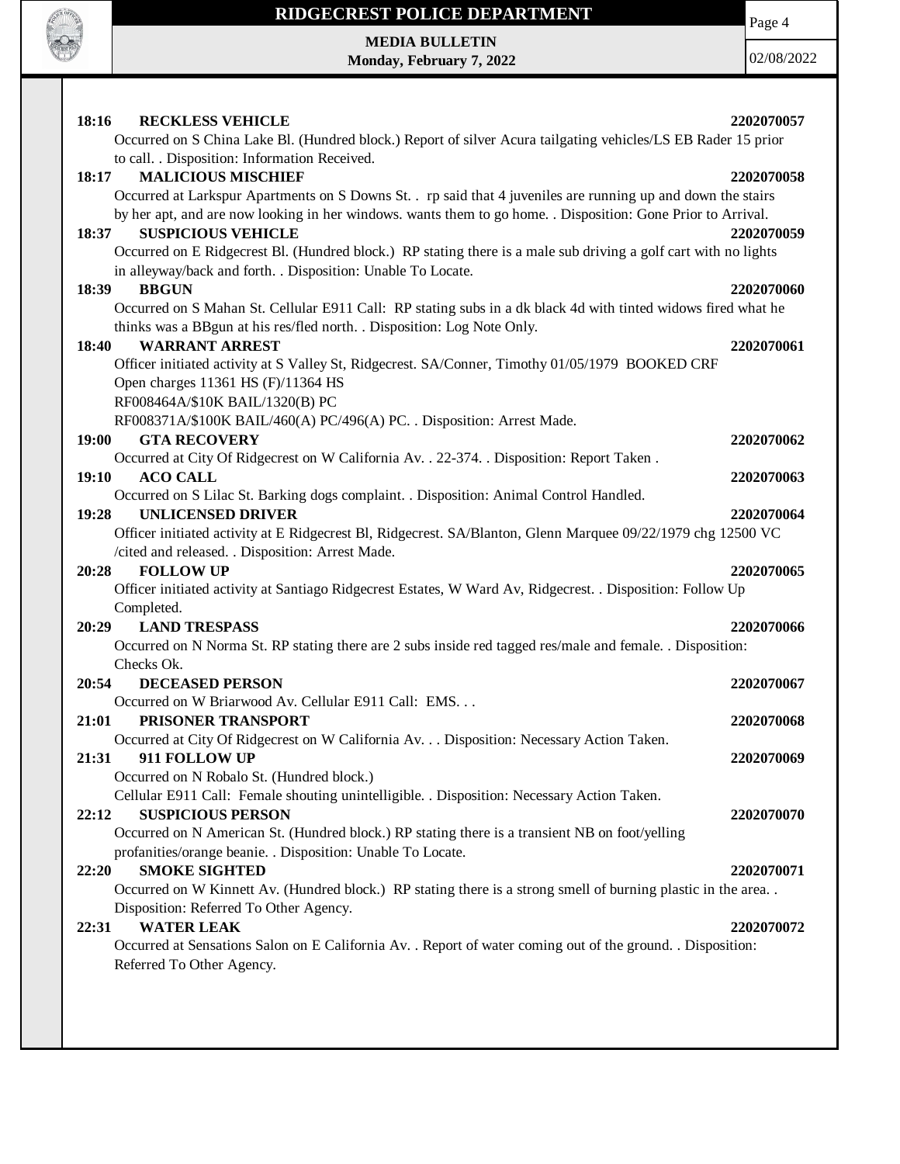

# **RIDGECREST POLICE DEPARTMENT MEDIA BULLETIN**

**Monday, February 7, 2022**

Page 4

02/08/2022

| <b>RECKLESS VEHICLE</b><br>18:16                                                                                                                                                | 2202070057 |
|---------------------------------------------------------------------------------------------------------------------------------------------------------------------------------|------------|
| Occurred on S China Lake Bl. (Hundred block.) Report of silver Acura tailgating vehicles/LS EB Rader 15 prior                                                                   |            |
| to call. . Disposition: Information Received.                                                                                                                                   |            |
| <b>MALICIOUS MISCHIEF</b><br>18:17                                                                                                                                              | 2202070058 |
| Occurred at Larkspur Apartments on S Downs St. . rp said that 4 juveniles are running up and down the stairs                                                                    |            |
| by her apt, and are now looking in her windows. wants them to go home. . Disposition: Gone Prior to Arrival.                                                                    |            |
| <b>SUSPICIOUS VEHICLE</b><br>18:37                                                                                                                                              | 2202070059 |
| Occurred on E Ridgecrest Bl. (Hundred block.) RP stating there is a male sub driving a golf cart with no lights<br>in alleyway/back and forth. . Disposition: Unable To Locate. |            |
| <b>BBGUN</b><br>18:39                                                                                                                                                           | 2202070060 |
| Occurred on S Mahan St. Cellular E911 Call: RP stating subs in a dk black 4d with tinted widows fired what he                                                                   |            |
| thinks was a BBgun at his res/fled north. . Disposition: Log Note Only.                                                                                                         |            |
| <b>WARRANT ARREST</b><br>18:40                                                                                                                                                  | 2202070061 |
| Officer initiated activity at S Valley St, Ridgecrest. SA/Conner, Timothy 01/05/1979 BOOKED CRF                                                                                 |            |
| Open charges 11361 HS (F)/11364 HS                                                                                                                                              |            |
| RF008464A/\$10K BAIL/1320(B) PC                                                                                                                                                 |            |
| RF008371A/\$100K BAIL/460(A) PC/496(A) PC. . Disposition: Arrest Made.                                                                                                          |            |
| 19:00<br><b>GTA RECOVERY</b>                                                                                                                                                    | 2202070062 |
| Occurred at City Of Ridgecrest on W California Av. . 22-374. . Disposition: Report Taken.                                                                                       |            |
| 19:10<br><b>ACO CALL</b>                                                                                                                                                        | 2202070063 |
| Occurred on S Lilac St. Barking dogs complaint. . Disposition: Animal Control Handled.                                                                                          |            |
| <b>UNLICENSED DRIVER</b><br>19:28                                                                                                                                               | 2202070064 |
| Officer initiated activity at E Ridgecrest Bl, Ridgecrest. SA/Blanton, Glenn Marquee 09/22/1979 chg 12500 VC                                                                    |            |
| /cited and released. . Disposition: Arrest Made.                                                                                                                                |            |
| 20:28<br><b>FOLLOW UP</b>                                                                                                                                                       | 2202070065 |
| Officer initiated activity at Santiago Ridgecrest Estates, W Ward Av, Ridgecrest. . Disposition: Follow Up                                                                      |            |
| Completed.                                                                                                                                                                      |            |
| 20:29<br><b>LAND TRESPASS</b>                                                                                                                                                   | 2202070066 |
| Occurred on N Norma St. RP stating there are 2 subs inside red tagged res/male and female. . Disposition:                                                                       |            |
| Checks Ok.                                                                                                                                                                      |            |
| 20:54<br><b>DECEASED PERSON</b>                                                                                                                                                 | 2202070067 |
| Occurred on W Briarwood Av. Cellular E911 Call: EMS                                                                                                                             |            |
| PRISONER TRANSPORT<br>21:01                                                                                                                                                     | 2202070068 |
| Occurred at City Of Ridgecrest on W California Av. Disposition: Necessary Action Taken.                                                                                         |            |
| 911 FOLLOW UP<br>21:31                                                                                                                                                          | 2202070069 |
| Occurred on N Robalo St. (Hundred block.)                                                                                                                                       |            |
| Cellular E911 Call: Female shouting unintelligible. . Disposition: Necessary Action Taken.                                                                                      |            |
| <b>SUSPICIOUS PERSON</b><br>22:12                                                                                                                                               | 2202070070 |
| Occurred on N American St. (Hundred block.) RP stating there is a transient NB on foot/yelling                                                                                  |            |
| profanities/orange beanie. . Disposition: Unable To Locate.                                                                                                                     |            |
| <b>SMOKE SIGHTED</b><br>22:20                                                                                                                                                   | 2202070071 |
| Occurred on W Kinnett Av. (Hundred block.) RP stating there is a strong smell of burning plastic in the area                                                                    |            |
| Disposition: Referred To Other Agency.                                                                                                                                          |            |
| <b>WATER LEAK</b><br>22:31                                                                                                                                                      | 2202070072 |
| Occurred at Sensations Salon on E California Av. . Report of water coming out of the ground. . Disposition:                                                                     |            |
| Referred To Other Agency.                                                                                                                                                       |            |
|                                                                                                                                                                                 |            |
|                                                                                                                                                                                 |            |